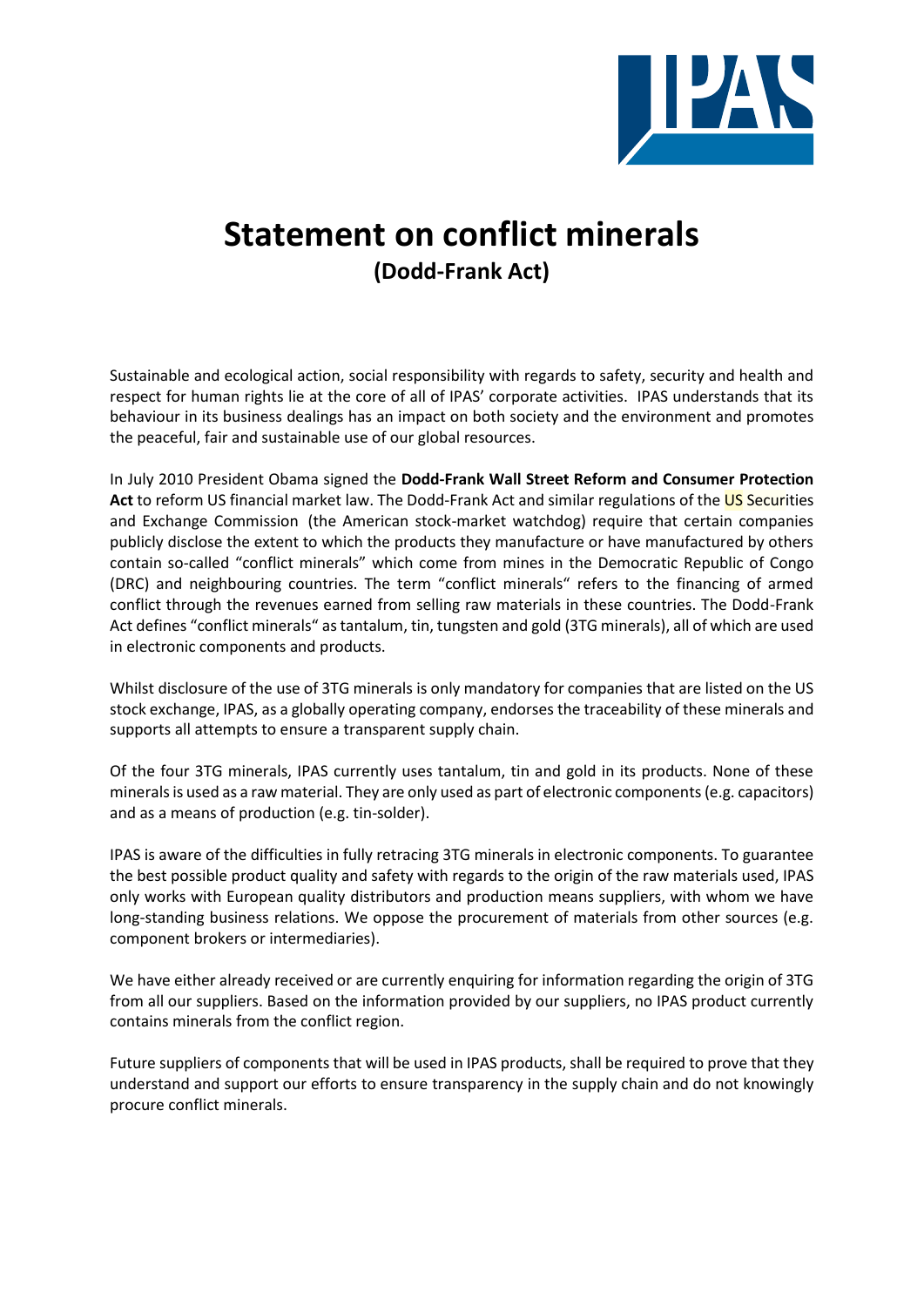

## **Statement on conflict minerals (Dodd-Frank Act)**

Sustainable and ecological action, social responsibility with regards to safety, security and health and respect for human rights lie at the core of all of IPAS' corporate activities. IPAS understands that its behaviour in its business dealings has an impact on both society and the environment and promotes the peaceful, fair and sustainable use of our global resources.

In July 2010 President Obama signed the **Dodd-Frank Wall Street Reform and Consumer Protection**  Act to reform US financial market law. The Dodd-Frank Act and similar regulations of the US Securities and Exchange Commission (the American stock-market watchdog) require that certain companies publicly disclose the extent to which the products they manufacture or have manufactured by others contain so-called "conflict minerals" which come from mines in the Democratic Republic of Congo (DRC) and neighbouring countries. The term "conflict minerals" refers to the financing of armed conflict through the revenues earned from selling raw materials in these countries. The Dodd-Frank Act defines "conflict minerals" as tantalum, tin, tungsten and gold (3TG minerals), all of which are used in electronic components and products.

Whilst disclosure of the use of 3TG minerals is only mandatory for companies that are listed on the US stock exchange, IPAS, as a globally operating company, endorses the traceability of these minerals and supports all attempts to ensure a transparent supply chain.

Of the four 3TG minerals, IPAS currently uses tantalum, tin and gold in its products. None of these minerals is used as a raw material. They are only used as part of electronic components (e.g. capacitors) and as a means of production (e.g. tin-solder).

IPAS is aware of the difficulties in fully retracing 3TG minerals in electronic components. To guarantee the best possible product quality and safety with regards to the origin of the raw materials used, IPAS only works with European quality distributors and production means suppliers, with whom we have long-standing business relations. We oppose the procurement of materials from other sources (e.g. component brokers or intermediaries).

We have either already received or are currently enquiring for information regarding the origin of 3TG from all our suppliers. Based on the information provided by our suppliers, no IPAS product currently contains minerals from the conflict region.

Future suppliers of components that will be used in IPAS products, shall be required to prove that they understand and support our efforts to ensure transparency in the supply chain and do not knowingly procure conflict minerals.